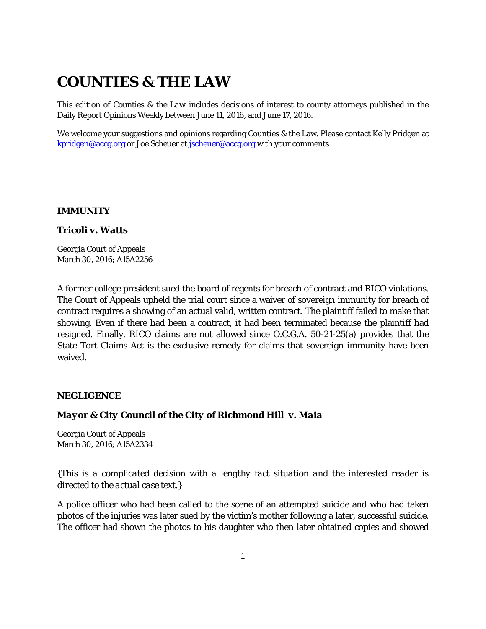# **COUNTIES & THE LAW**

This edition of *Counties & the Law* includes decisions of interest to county attorneys published in the Daily Report Opinions Weekly between June 11, 2016, and June 17, 2016.

We welcome your suggestions and opinions regarding Counties & the Law. Please contact Kelly Pridgen at [kpridgen@accg.org](mailto:kpridgen@accg.org) or Joe Scheuer at [jscheuer@accg.org](mailto:jscheuer@accg.org) with your comments.

### *IMMUNITY*

#### *Tricoli v. Watts*

Georgia Court of Appeals March 30, 2016; A15A2256

A former college president sued the board of regents for breach of contract and RICO violations. The Court of Appeals upheld the trial court since a waiver of sovereign immunity for breach of contract requires a showing of an actual valid, written contract. The plaintiff failed to make that showing. Even if there had been a contract, it had been terminated because the plaintiff had resigned. Finally, RICO claims are not allowed since O.C.G.A. 50-21-25(a) provides that the State Tort Claims Act is the exclusive remedy for claims that sovereign immunity have been waived.

### *NEGLIGENCE*

### *Mayor & City Council of the City of Richmond Hill v. Maia*

Georgia Court of Appeals March 30, 2016; A15A2334

*{This is a complicated decision with a lengthy fact situation and the interested reader is directed to the actual case text.}*

A police officer who had been called to the scene of an attempted suicide and who had taken photos of the injuries was later sued by the victim's mother following a later, successful suicide. The officer had shown the photos to his daughter who then later obtained copies and showed